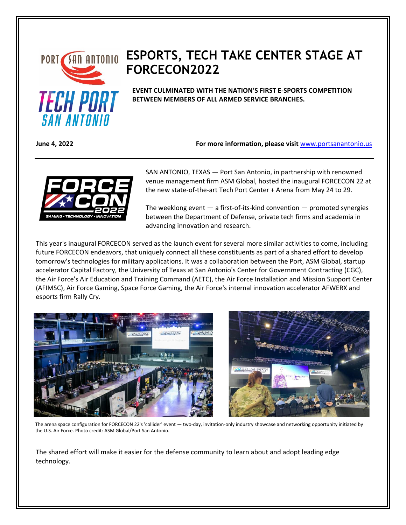

## **PORT SAN ANTONIO ESPORTS, TECH TAKE CENTER STAGE AT FORCECON2022**

**EVENT CULMINATED WITH THE NATION'S FIRST E-SPORTS COMPETITION BETWEEN MEMBERS OF ALL ARMED SERVICE BRANCHES.**

**June 4, 2022 For more information, please visit** [www.portsanantonio.us](http://www.portsanantonio.us/innovation)



SAN ANTONIO, TEXAS — Port San Antonio, in partnership with renowned venue management firm ASM Global, hosted the inaugural FORCECON 22 at the new state-of-the-art Tech Port Center + Arena from May 24 to 29.

The weeklong event — a first-of-its-kind convention — promoted synergies between the Department of Defense, private tech firms and academia in advancing innovation and research.

This year's inaugural FORCECON served as the launch event for several more similar activities to come, including future FORCECON endeavors, that uniquely connect all these constituents as part of a shared effort to develop tomorrow's technologies for military applications. It was a collaboration between the Port, ASM Global, startup accelerator Capital Factory, the University of Texas at San Antonio's Center for Government Contracting (CGC), the Air Force's Air Education and Training Command (AETC), the Air Force Installation and Mission Support Center (AFIMSC), Air Force Gaming, Space Force Gaming, the Air Force's internal innovation accelerator AFWERX and esports firm Rally Cry.





The arena space configuration for FORCECON 22's 'collider' event — two-day, invitation-only industry showcase and networking opportunity initiated by the U.S. Air Force. Photo credit: ASM Global/Port San Antonio.

The shared effort will make it easier for the defense community to learn about and adopt leading edge technology.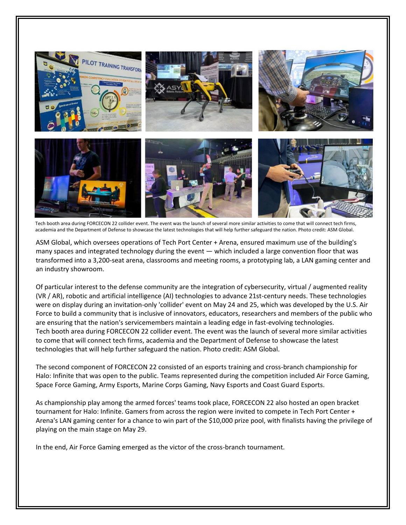

Tech booth area during FORCECON 22 collider event. The event was the launch of several more similar activities to come that will connect tech firms, academia and the Department of Defense to showcase the latest technologies that will help further safeguard the nation. Photo credit: ASM Global.

ASM Global, which oversees operations of Tech Port Center + Arena, ensured maximum use of the building's many spaces and integrated technology during the event — which included a large convention floor that was transformed into a 3,200-seat arena, classrooms and meeting rooms, a prototyping lab, a LAN gaming center and an industry showroom.

Of particular interest to the defense community are the integration of cybersecurity, virtual / augmented reality (VR / AR), robotic and artificial intelligence (AI) technologies to advance 21st-century needs. These technologies were on display during an invitation-only 'collider' event on May 24 and 25, which was developed by the U.S. Air Force to build a community that is inclusive of innovators, educators, researchers and members of the public who are ensuring that the nation's servicemembers maintain a leading edge in fast-evolving technologies. Tech booth area during FORCECON 22 collider event. The event was the launch of several more similar activities to come that will connect tech firms, academia and the Department of Defense to showcase the latest technologies that will help further safeguard the nation. Photo credit: ASM Global.

The second component of FORCECON 22 consisted of an esports training and cross-branch championship for Halo: Infinite that was open to the public. Teams represented during the competition included Air Force Gaming, Space Force Gaming, Army Esports, Marine Corps Gaming, Navy Esports and Coast Guard Esports.

As championship play among the armed forces' teams took place, FORCECON 22 also hosted an open bracket tournament for Halo: Infinite. Gamers from across the region were invited to compete in Tech Port Center + Arena's LAN gaming center for a chance to win part of the \$10,000 prize pool, with finalists having the privilege of playing on the main stage on May 29.

In the end, Air Force Gaming emerged as the victor of the cross-branch tournament.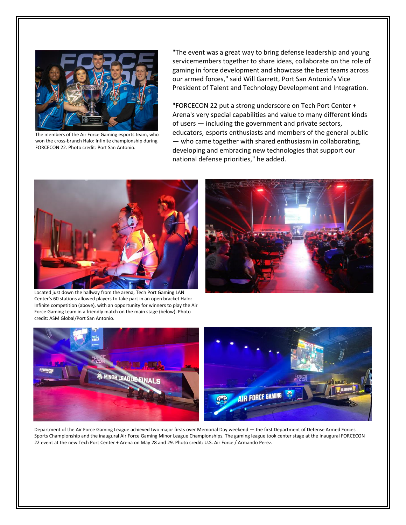

The members of the Air Force Gaming esports team, who won the cross-branch Halo: Infinite championship during FORCECON 22. Photo credit: Port San Antonio.

"The event was a great way to bring defense leadership and young servicemembers together to share ideas, collaborate on the role of gaming in force development and showcase the best teams across our armed forces," said Will Garrett, Port San Antonio's Vice President of Talent and Technology Development and Integration.

"FORCECON 22 put a strong underscore on Tech Port Center + Arena's very special capabilities and value to many different kinds of users — including the government and private sectors, educators, esports enthusiasts and members of the general public — who came together with shared enthusiasm in collaborating, developing and embracing new technologies that support our national defense priorities," he added.



Located just down the hallway from the arena, Tech Port Gaming LAN Center's 60 stations allowed players to take part in an open bracket Halo: Infinite competition (above), with an opportunity for winners to play the Air Force Gaming team in a friendly match on the main stage (below). Photo credit: ASM Global/Port San Antonio.





Department of the Air Force Gaming League achieved two major firsts over Memorial Day weekend — the first Department of Defense Armed Forces Sports Championship and the inaugural Air Force Gaming Minor League Championships. The gaming league took center stage at the inaugural FORCECON 22 event at the new Tech Port Center + Arena on May 28 and 29. Photo credit: U.S. Air Force / Armando Perez.